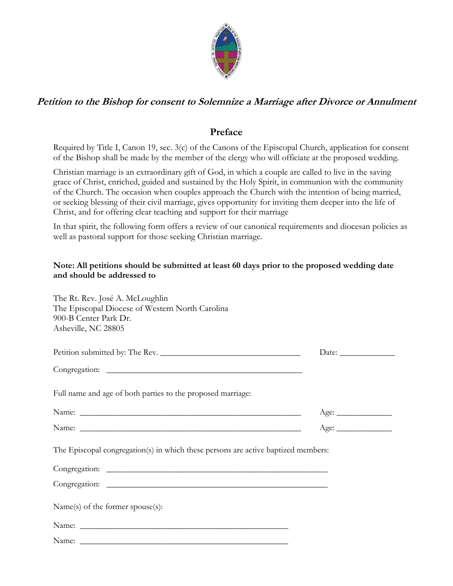

## **Petition to the Bishop for consent to Solemnize a Marriage after Divorce or Annulment**

## **Preface**

Required by Title I, Canon 19, sec. 3(c) of the Canons of the Episcopal Church, application for consent of the Bishop shall be made by the member of the clergy who will officiate at the proposed wedding.

Christian marriage is an extraordinary gift of God, in which a couple are called to live in the saving grace of Christ, enriched, guided and sustained by the Holy Spirit, in communion with the community of the Church. The occasion when couples approach the Church with the intention of being married, or seeking blessing of their civil marriage, gives opportunity for inviting them deeper into the life of Christ, and for offering clear teaching and support for their marriage

In that spirit, the following form offers a review of our canonical requirements and diocesan policies as well as pastoral support for those seeking Christian marriage.

## **Note: All petitions should be submitted at least 60 days prior to the proposed wedding date and should be addressed to**

| The Rt. Rev. José A. McLoughlin<br>The Episcopal Diocese of Western North Carolina<br>900-B Center Park Dr.<br>Asheville, NC 28805 |              |
|------------------------------------------------------------------------------------------------------------------------------------|--------------|
|                                                                                                                                    | Date: $\_\_$ |
|                                                                                                                                    |              |
| Full name and age of both parties to the proposed marriage:                                                                        |              |
|                                                                                                                                    |              |
|                                                                                                                                    |              |
| The Episcopal congregation(s) in which these persons are active baptized members:                                                  |              |
|                                                                                                                                    |              |
|                                                                                                                                    |              |
| Name(s) of the former spouse(s):                                                                                                   |              |
|                                                                                                                                    |              |
|                                                                                                                                    |              |